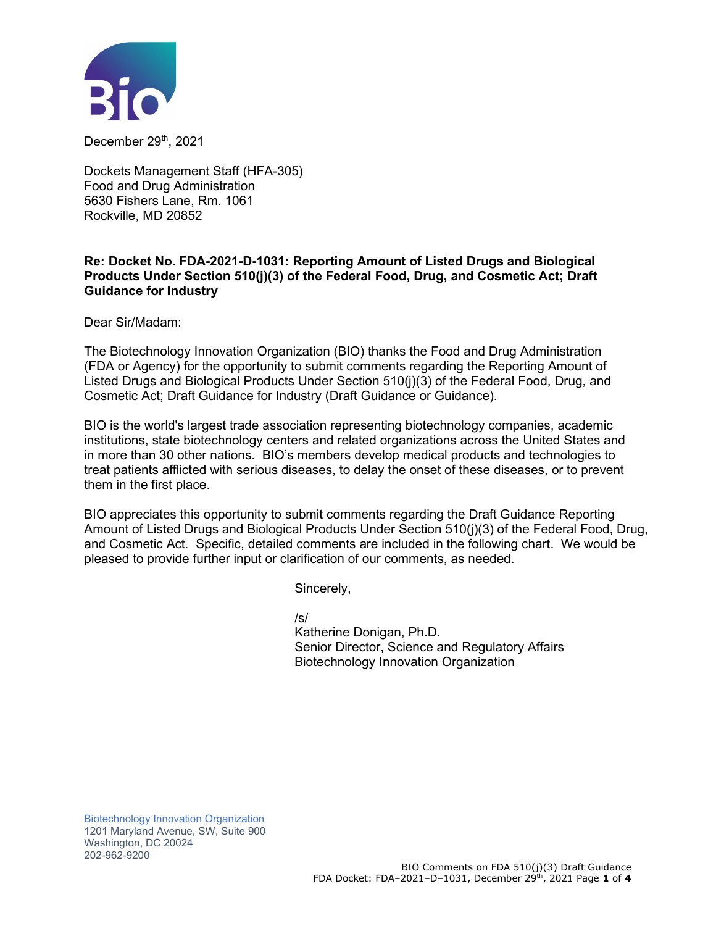

December 29th, 2021

Dockets Management Staff (HFA-305) Food and Drug Administration 5630 Fishers Lane, Rm. 1061 Rockville, MD 20852

## **Re: Docket No. FDA-2021-D-1031: Reporting Amount of Listed Drugs and Biological Products Under Section 510(j)(3) of the Federal Food, Drug, and Cosmetic Act; Draft Guidance for Industry**

Dear Sir/Madam:

The Biotechnology Innovation Organization (BIO) thanks the Food and Drug Administration (FDA or Agency) for the opportunity to submit comments regarding the Reporting Amount of Listed Drugs and Biological Products Under Section 510(j)(3) of the Federal Food, Drug, and Cosmetic Act; Draft Guidance for Industry (Draft Guidance or Guidance).

BIO is the world's largest trade association representing biotechnology companies, academic institutions, state biotechnology centers and related organizations across the United States and in more than 30 other nations. BIO's members develop medical products and technologies to treat patients afflicted with serious diseases, to delay the onset of these diseases, or to prevent them in the first place.

BIO appreciates this opportunity to submit comments regarding the Draft Guidance Reporting Amount of Listed Drugs and Biological Products Under Section 510(j)(3) of the Federal Food, Drug, and Cosmetic Act*.* Specific, detailed comments are included in the following chart. We would be pleased to provide further input or clarification of our comments, as needed.

Sincerely,

/s/

Katherine Donigan, Ph.D. Senior Director, Science and Regulatory Affairs Biotechnology Innovation Organization

Biotechnology Innovation Organization 1201 Maryland Avenue, SW, Suite 900 Washington, DC 20024 202-962-9200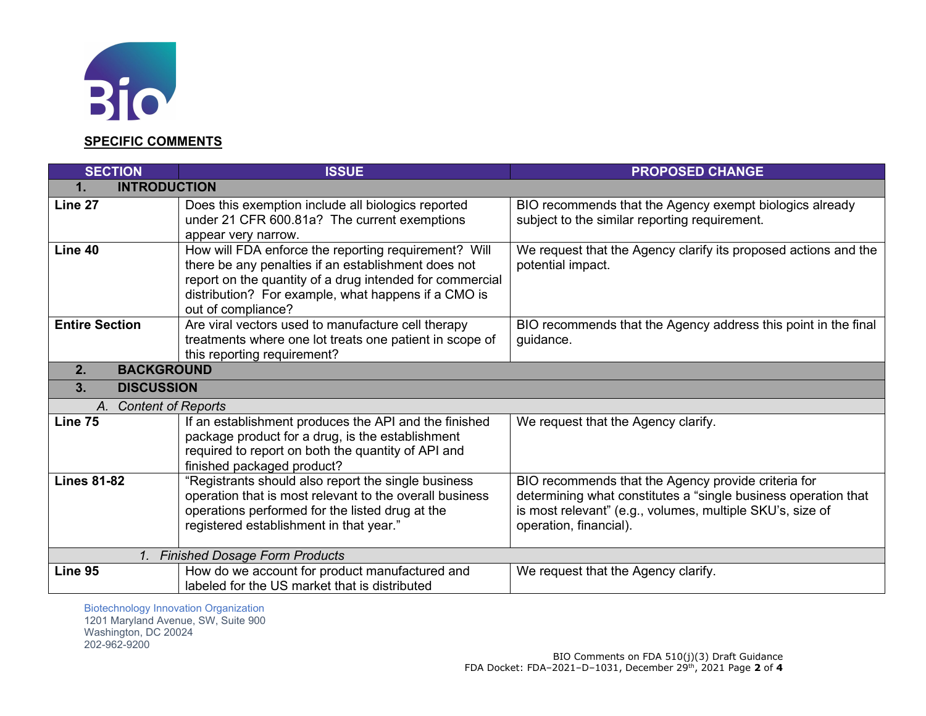

## **SPECIFIC COMMENTS**

| <b>SECTION</b>                                          | <b>ISSUE</b>                                                                                                                                                                                                                                         | <b>PROPOSED CHANGE</b>                                                                                                                                                                                       |  |  |
|---------------------------------------------------------|------------------------------------------------------------------------------------------------------------------------------------------------------------------------------------------------------------------------------------------------------|--------------------------------------------------------------------------------------------------------------------------------------------------------------------------------------------------------------|--|--|
| <b>INTRODUCTION</b><br>1.                               |                                                                                                                                                                                                                                                      |                                                                                                                                                                                                              |  |  |
| Line 27                                                 | Does this exemption include all biologics reported<br>under 21 CFR 600.81a? The current exemptions<br>appear very narrow.                                                                                                                            | BIO recommends that the Agency exempt biologics already<br>subject to the similar reporting requirement.                                                                                                     |  |  |
| Line 40                                                 | How will FDA enforce the reporting requirement? Will<br>there be any penalties if an establishment does not<br>report on the quantity of a drug intended for commercial<br>distribution? For example, what happens if a CMO is<br>out of compliance? | We request that the Agency clarify its proposed actions and the<br>potential impact.                                                                                                                         |  |  |
| <b>Entire Section</b>                                   | Are viral vectors used to manufacture cell therapy<br>treatments where one lot treats one patient in scope of<br>this reporting requirement?                                                                                                         | BIO recommends that the Agency address this point in the final<br>guidance.                                                                                                                                  |  |  |
| <b>BACKGROUND</b><br>2.                                 |                                                                                                                                                                                                                                                      |                                                                                                                                                                                                              |  |  |
| 3.<br><b>DISCUSSION</b>                                 |                                                                                                                                                                                                                                                      |                                                                                                                                                                                                              |  |  |
| <b>Content of Reports</b><br>A.                         |                                                                                                                                                                                                                                                      |                                                                                                                                                                                                              |  |  |
| Line 75                                                 | If an establishment produces the API and the finished<br>package product for a drug, is the establishment<br>required to report on both the quantity of API and<br>finished packaged product?                                                        | We request that the Agency clarify.                                                                                                                                                                          |  |  |
| <b>Lines 81-82</b>                                      | "Registrants should also report the single business<br>operation that is most relevant to the overall business<br>operations performed for the listed drug at the<br>registered establishment in that year."                                         | BIO recommends that the Agency provide criteria for<br>determining what constitutes a "single business operation that<br>is most relevant" (e.g., volumes, multiple SKU's, size of<br>operation, financial). |  |  |
| <b>Finished Dosage Form Products</b><br>$\mathcal{I}$ . |                                                                                                                                                                                                                                                      |                                                                                                                                                                                                              |  |  |
| Line 95                                                 | How do we account for product manufactured and<br>labeled for the US market that is distributed                                                                                                                                                      | We request that the Agency clarify.                                                                                                                                                                          |  |  |

Biotechnology Innovation Organization 1201 Maryland Avenue, SW, Suite 900 Washington, DC 20024 202-962-9200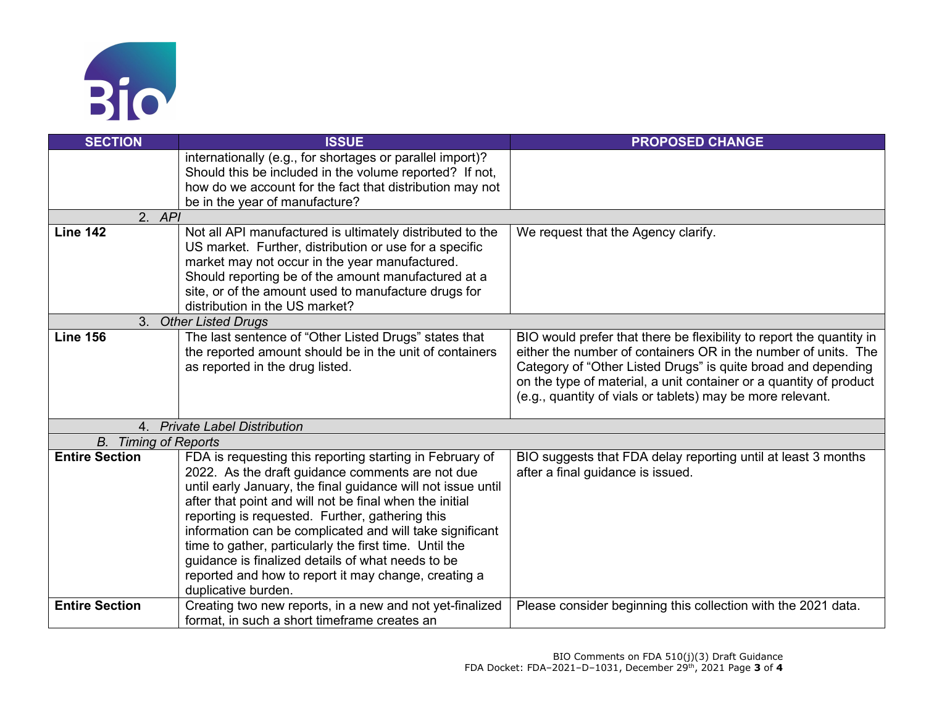

| <b>SECTION</b>              | <b>ISSUE</b>                                                                                                            | <b>PROPOSED CHANGE</b>                                                                                                                 |  |
|-----------------------------|-------------------------------------------------------------------------------------------------------------------------|----------------------------------------------------------------------------------------------------------------------------------------|--|
|                             | internationally (e.g., for shortages or parallel import)?                                                               |                                                                                                                                        |  |
|                             | Should this be included in the volume reported? If not,                                                                 |                                                                                                                                        |  |
|                             | how do we account for the fact that distribution may not<br>be in the year of manufacture?                              |                                                                                                                                        |  |
| 2. API                      |                                                                                                                         |                                                                                                                                        |  |
| <b>Line 142</b>             | Not all API manufactured is ultimately distributed to the                                                               | We request that the Agency clarify.                                                                                                    |  |
|                             | US market. Further, distribution or use for a specific                                                                  |                                                                                                                                        |  |
|                             | market may not occur in the year manufactured.                                                                          |                                                                                                                                        |  |
|                             | Should reporting be of the amount manufactured at a                                                                     |                                                                                                                                        |  |
|                             | site, or of the amount used to manufacture drugs for                                                                    |                                                                                                                                        |  |
|                             | distribution in the US market?                                                                                          |                                                                                                                                        |  |
|                             | 3. Other Listed Drugs                                                                                                   |                                                                                                                                        |  |
| <b>Line 156</b>             | The last sentence of "Other Listed Drugs" states that<br>the reported amount should be in the unit of containers        | BIO would prefer that there be flexibility to report the quantity in<br>either the number of containers OR in the number of units. The |  |
|                             | as reported in the drug listed.                                                                                         | Category of "Other Listed Drugs" is quite broad and depending                                                                          |  |
|                             |                                                                                                                         | on the type of material, a unit container or a quantity of product                                                                     |  |
|                             |                                                                                                                         | (e.g., quantity of vials or tablets) may be more relevant.                                                                             |  |
|                             |                                                                                                                         |                                                                                                                                        |  |
| 4.                          | <b>Private Label Distribution</b>                                                                                       |                                                                                                                                        |  |
| <b>B.</b> Timing of Reports |                                                                                                                         |                                                                                                                                        |  |
| <b>Entire Section</b>       | FDA is requesting this reporting starting in February of                                                                | BIO suggests that FDA delay reporting until at least 3 months                                                                          |  |
|                             | 2022. As the draft guidance comments are not due                                                                        | after a final guidance is issued.                                                                                                      |  |
|                             | until early January, the final guidance will not issue until<br>after that point and will not be final when the initial |                                                                                                                                        |  |
|                             | reporting is requested. Further, gathering this                                                                         |                                                                                                                                        |  |
|                             | information can be complicated and will take significant                                                                |                                                                                                                                        |  |
|                             | time to gather, particularly the first time. Until the                                                                  |                                                                                                                                        |  |
|                             | guidance is finalized details of what needs to be                                                                       |                                                                                                                                        |  |
|                             | reported and how to report it may change, creating a                                                                    |                                                                                                                                        |  |
|                             | duplicative burden.                                                                                                     |                                                                                                                                        |  |
| <b>Entire Section</b>       | Creating two new reports, in a new and not yet-finalized                                                                | Please consider beginning this collection with the 2021 data.                                                                          |  |
|                             | format, in such a short timeframe creates an                                                                            |                                                                                                                                        |  |